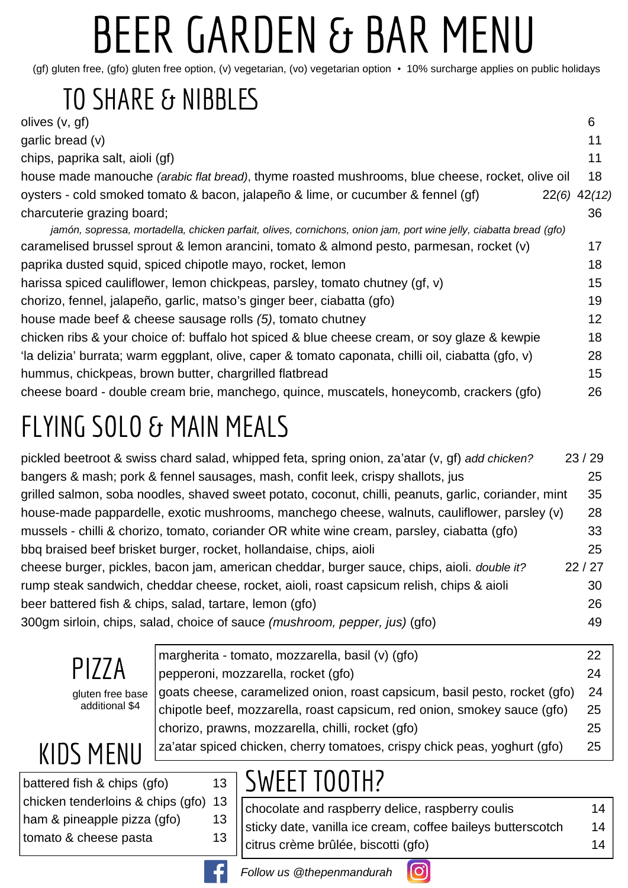# BEER GARDEN & BAR MENU

(gf) gluten free, (gfo) gluten free option, (v) vegetarian, (vo) vegetarian option • 10% surcharge applies on public holidays

## TO SHARE & NIBBLES

| olives (v, gf)                                                                                                     | 6              |
|--------------------------------------------------------------------------------------------------------------------|----------------|
| garlic bread (v)                                                                                                   | 11             |
| chips, paprika salt, aioli (gf)                                                                                    | 11             |
| house made manouche <i>(arabic flat bread)</i> , thyme roasted mushrooms, blue cheese, rocket, olive oil           | 18             |
| oysters - cold smoked tomato & bacon, jalapeño & lime, or cucumber & fennel (gf)                                   | $22(6)$ 42(12) |
| charcuterie grazing board;                                                                                         | 36             |
| jamón, sopressa, mortadella, chicken parfait, olives, cornichons, onion jam, port wine jelly, ciabatta bread (gfo) |                |
| caramelised brussel sprout & lemon arancini, tomato & almond pesto, parmesan, rocket (v)                           | 17             |
| paprika dusted squid, spiced chipotle mayo, rocket, lemon                                                          | 18             |
| harissa spiced cauliflower, lemon chickpeas, parsley, tomato chutney $(gf, v)$                                     | 15             |
| chorizo, fennel, jalapeño, garlic, matso's ginger beer, ciabatta (gfo)                                             | 19             |
| house made beef & cheese sausage rolls (5), tomato chutney                                                         | 12             |
| chicken ribs & your choice of: buffalo hot spiced & blue cheese cream, or soy glaze & kewpie                       | 18             |
| 'la delizia' burrata; warm eggplant, olive, caper & tomato caponata, chilli oil, ciabatta (gfo, v)                 | 28             |
| hummus, chickpeas, brown butter, chargrilled flatbread                                                             | 15             |
| cheese board - double cream brie, manchego, quince, muscatels, honeycomb, crackers (gfo)                           | 26             |
|                                                                                                                    |                |

### FLYING SOLO & MAIN MEALS

| pickled beetroot & swiss chard salad, whipped feta, spring onion, za'atar (v, gf) add chicken?       | 23/29 |
|------------------------------------------------------------------------------------------------------|-------|
| bangers & mash; pork & fennel sausages, mash, confit leek, crispy shallots, jus                      | 25    |
| grilled salmon, soba noodles, shaved sweet potato, coconut, chilli, peanuts, garlic, coriander, mint | 35    |
| house-made pappardelle, exotic mushrooms, manchego cheese, walnuts, cauliflower, parsley (v)         | 28    |
| mussels - chilli & chorizo, tomato, coriander OR white wine cream, parsley, ciabatta (gfo)           | 33    |
| bbq braised beef brisket burger, rocket, hollandaise, chips, aioli                                   | 25    |
| cheese burger, pickles, bacon jam, american cheddar, burger sauce, chips, aioli. <i>double it?</i>   | 22/27 |
| rump steak sandwich, cheddar cheese, rocket, aioli, roast capsicum relish, chips & aioli             | 30    |
| beer battered fish & chips, salad, tartare, lemon (gfo)                                              | 26    |
| 300gm sirloin, chips, salad, choice of sauce (mushroom, pepper, jus) (gfo)                           | 49    |

|                                                                  |    | margherita - tomato, mozzarella, basil (v) (gfo)                           | 22 |
|------------------------------------------------------------------|----|----------------------------------------------------------------------------|----|
| <b>PI77A</b>                                                     |    | pepperoni, mozzarella, rocket (gfo)                                        | 24 |
| gluten free base                                                 |    | goats cheese, caramelized onion, roast capsicum, basil pesto, rocket (gfo) | 24 |
| additional \$4                                                   |    | chipotle beef, mozzarella, roast capsicum, red onion, smokey sauce (gfo)   | 25 |
|                                                                  |    | chorizo, prawns, mozzarella, chilli, rocket (gfo)                          | 25 |
| KIDS MENU                                                        |    | za'atar spiced chicken, cherry tomatoes, crispy chick peas, yoghurt (gfo)  | 25 |
| battered fish & chips (gfo)                                      | 13 | SWEET TOOTH?                                                               |    |
| chicken tenderloins & chips (gfo) 13                             |    | chocolate and raspberry delice, raspberry coulis                           | 14 |
| ham & pineapple pizza (gfo)<br>13<br>13<br>tomato & cheese pasta |    | sticky date, vanilla ice cream, coffee baileys butterscotch                | 14 |
|                                                                  |    | citrus crème brûlée, biscotti (gfo)                                        | 14 |

*Follow us @thepenmandurah*

<u> ලු</u>